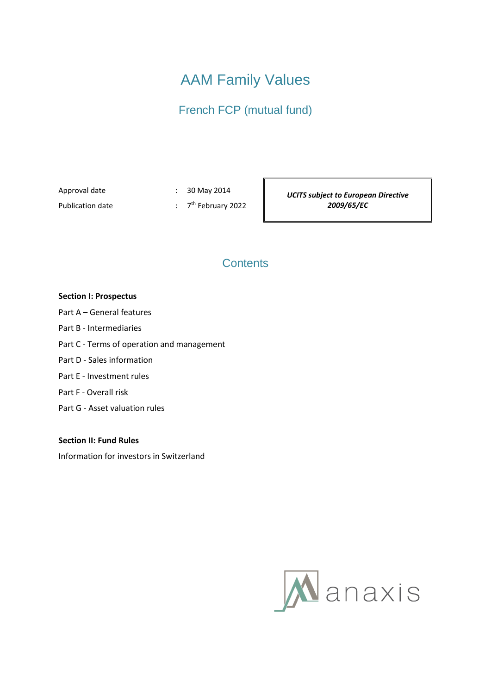# AAM Family Values

French FCP (mutual fund)

Approval date : 30 May 2014

Publication date

 $: 7<sup>th</sup>$  February 2022

*UCITS subject to European Directive 2009/65/EC*

# **Contents**

# **Section I: Prospectus**

- Part A General features
- Part B Intermediaries
- Part C Terms of operation and management
- Part D Sales information
- Part E Investment rules
- Part F Overall risk
- Part G Asset valuation rules

# **Section II: Fund Rules**

Information for investors in Switzerland

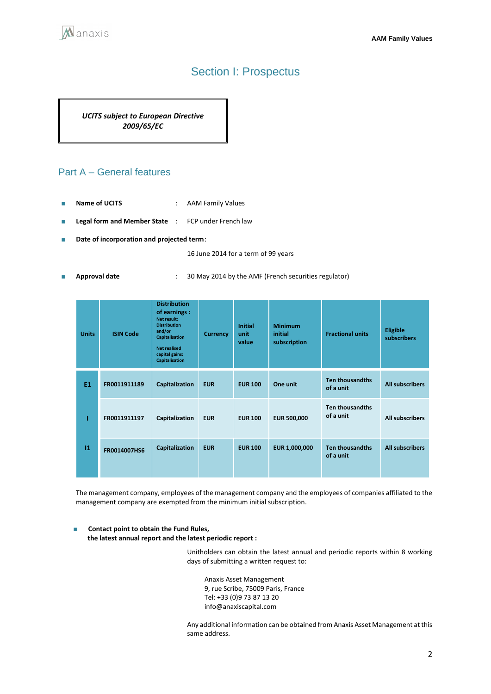

# Section I: Prospectus

*UCITS subject to European Directive 2009/65/EC*

# Part A – General features

- **Name of UCITS** : AAM Family Values
- **Legal form and Member State** : FCP under French law
- **Date of incorporation and projected term**:

16 June 2014 for a term of 99 years

■ **Approval date** : 30 May 2014 by the AMF (French securities regulator)

| <b>Units</b>   | <b>ISIN Code</b> | <b>Distribution</b><br>of earnings :<br>Net result:<br><b>Distribution</b><br>and/or<br><b>Capitalisation</b><br><b>Net realised</b><br>capital gains:<br><b>Capitalisation</b> | <b>Currency</b> | Initial<br>unit<br>value | <b>Minimum</b><br>initial<br>subscription | <b>Fractional units</b>             | Eligible<br>subscribers |
|----------------|------------------|---------------------------------------------------------------------------------------------------------------------------------------------------------------------------------|-----------------|--------------------------|-------------------------------------------|-------------------------------------|-------------------------|
| E <sub>1</sub> | FR0011911189     | Capitalization                                                                                                                                                                  | <b>EUR</b>      | <b>EUR 100</b>           | One unit                                  | <b>Ten thousandths</b><br>of a unit | <b>All subscribers</b>  |
|                | FR0011911197     | Capitalization                                                                                                                                                                  | <b>EUR</b>      | <b>EUR 100</b>           | <b>EUR 500,000</b>                        | <b>Ten thousandths</b><br>of a unit | <b>All subscribers</b>  |
| $\bf{11}$      | FR0014007HS6     | Capitalization                                                                                                                                                                  | <b>EUR</b>      | <b>EUR 100</b>           | EUR 1,000,000                             | <b>Ten thousandths</b><br>of a unit | <b>All subscribers</b>  |

The management company, employees of the management company and the employees of companies affiliated to the management company are exempted from the minimum initial subscription.

#### ■ **Contact point to obtain the Fund Rules, the latest annual report and the latest periodic report :**

Unitholders can obtain the latest annual and periodic reports within 8 working days of submitting a written request to:

Anaxis Asset Management 9, rue Scribe, 75009 Paris, France Tel: +33 (0)9 73 87 13 20 info@anaxiscapital.com

Any additional information can be obtained from Anaxis Asset Management at this same address.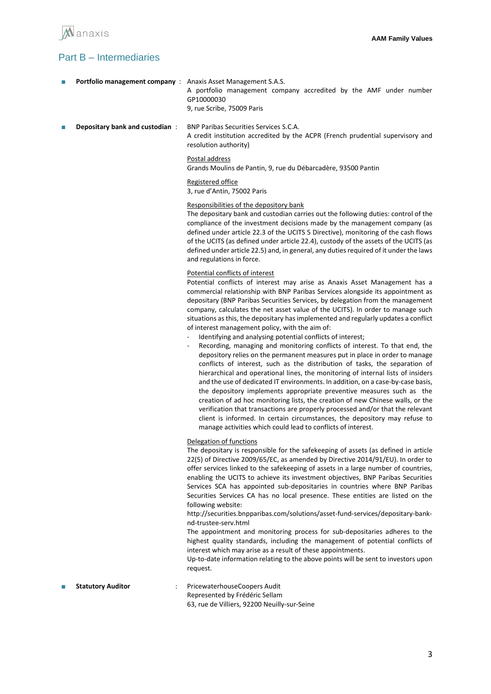

# Part B – Intermediaries

| m. | <b>Portfolio management company</b> : Anaxis Asset Management S.A.S. | A portfolio management company accredited by the AMF under number<br>GP10000030<br>9, rue Scribe, 75009 Paris                                            |
|----|----------------------------------------------------------------------|----------------------------------------------------------------------------------------------------------------------------------------------------------|
| T. | Depositary bank and custodian:                                       | <b>BNP Paribas Securities Services S.C.A.</b><br>A credit institution accredited by the ACPR (French prudential supervisory and<br>resolution authority) |
|    |                                                                      | Postal address<br>Grands Moulins de Pantin, 9, rue du Débarcadère, 93500 Pantin                                                                          |
|    |                                                                      | Registered office<br>3, rue d'Antin, 75002 Paris                                                                                                         |

### Responsibilities of the depository bank

The depositary bank and custodian carries out the following duties: control of the compliance of the investment decisions made by the management company (as defined under article 22.3 of the UCITS 5 Directive), monitoring of the cash flows of the UCITS (as defined under article 22.4), custody of the assets of the UCITS (as defined under article 22.5) and, in general, any duties required of it under the laws and regulations in force.

Potential conflicts of interest

Potential conflicts of interest may arise as Anaxis Asset Management has a commercial relationship with BNP Paribas Services alongside its appointment as depositary (BNP Paribas Securities Services, by delegation from the management company, calculates the net asset value of the UCITS). In order to manage such situations as this, the depositary has implemented and regularly updates a conflict of interest management policy, with the aim of:

- Identifying and analysing potential conflicts of interest;
- Recording, managing and monitoring conflicts of interest. To that end, the depository relies on the permanent measures put in place in order to manage conflicts of interest, such as the distribution of tasks, the separation of hierarchical and operational lines, the monitoring of internal lists of insiders and the use of dedicated IT environments. In addition, on a case-by-case basis, the depository implements appropriate preventive measures such as the creation of ad hoc monitoring lists, the creation of new Chinese walls, or the verification that transactions are properly processed and/or that the relevant client is informed. In certain circumstances, the depository may refuse to manage activities which could lead to conflicts of interest.

#### Delegation of functions

The depositary is responsible for the safekeeping of assets (as defined in article 22(5) of Directive 2009/65/EC, as amended by Directive 2014/91/EU). In order to offer services linked to the safekeeping of assets in a large number of countries, enabling the UCITS to achieve its investment objectives, BNP Paribas Securities Services SCA has appointed sub-depositaries in countries where BNP Paribas Securities Services CA has no local presence. These entities are listed on the following website:

http://securities.bnpparibas.com/solutions/asset-fund-services/depositary-banknd-trustee-serv.html

The appointment and monitoring process for sub-depositaries adheres to the highest quality standards, including the management of potential conflicts of interest which may arise as a result of these appointments.

Up-to-date information relating to the above points will be sent to investors upon request.

Statutory Auditor **: PricewaterhouseCoopers Audit** Represented by Frédéric Sellam 63, rue de Villiers, 92200 Neuilly-sur-Seine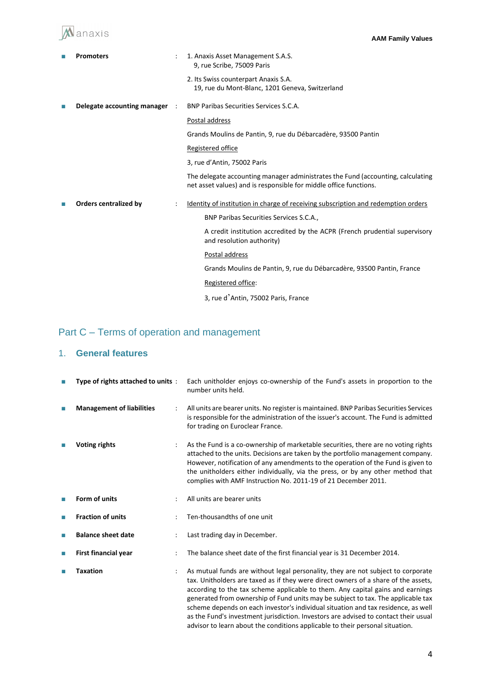# Manaxis

|   | <b>Promoters</b>             |           | 1. Anaxis Asset Management S.A.S.<br>9, rue Scribe, 75009 Paris                                                                                      |
|---|------------------------------|-----------|------------------------------------------------------------------------------------------------------------------------------------------------------|
|   |                              |           | 2. Its Swiss counterpart Anaxis S.A.<br>19, rue du Mont-Blanc, 1201 Geneva, Switzerland                                                              |
| П | Delegate accounting manager  | $\cdot$ : | <b>BNP Paribas Securities Services S.C.A.</b>                                                                                                        |
|   |                              |           | Postal address                                                                                                                                       |
|   |                              |           | Grands Moulins de Pantin, 9, rue du Débarcadère, 93500 Pantin                                                                                        |
|   |                              |           | Registered office                                                                                                                                    |
|   |                              |           | 3, rue d'Antin, 75002 Paris                                                                                                                          |
|   |                              |           | The delegate accounting manager administrates the Fund (accounting, calculating<br>net asset values) and is responsible for middle office functions. |
| П | <b>Orders centralized by</b> |           | Identity of institution in charge of receiving subscription and redemption orders                                                                    |
|   |                              |           | BNP Paribas Securities Services S.C.A.,                                                                                                              |
|   |                              |           | A credit institution accredited by the ACPR (French prudential supervisory<br>and resolution authority)                                              |
|   |                              |           | Postal address                                                                                                                                       |
|   |                              |           | Grands Moulins de Pantin, 9, rue du Débarcadère, 93500 Pantin, France                                                                                |
|   |                              |           | Registered office:                                                                                                                                   |
|   |                              |           | 3, rue d'Antin, 75002 Paris, France                                                                                                                  |

# Part C – Terms of operation and management

# 1. **General features**

| П | Type of rights attached to units: |   | Each unitholder enjoys co-ownership of the Fund's assets in proportion to the<br>number units held.                                                                                                                                                                                                                                                                                                                                                                                                                                                                                                       |
|---|-----------------------------------|---|-----------------------------------------------------------------------------------------------------------------------------------------------------------------------------------------------------------------------------------------------------------------------------------------------------------------------------------------------------------------------------------------------------------------------------------------------------------------------------------------------------------------------------------------------------------------------------------------------------------|
| П | <b>Management of liabilities</b>  | ÷ | All units are bearer units. No register is maintained. BNP Paribas Securities Services<br>is responsible for the administration of the issuer's account. The Fund is admitted<br>for trading on Euroclear France.                                                                                                                                                                                                                                                                                                                                                                                         |
|   | <b>Voting rights</b>              |   | As the Fund is a co-ownership of marketable securities, there are no voting rights<br>attached to the units. Decisions are taken by the portfolio management company.<br>However, notification of any amendments to the operation of the Fund is given to<br>the unitholders either individually, via the press, or by any other method that<br>complies with AMF Instruction No. 2011-19 of 21 December 2011.                                                                                                                                                                                            |
| П | Form of units                     |   | All units are bearer units                                                                                                                                                                                                                                                                                                                                                                                                                                                                                                                                                                                |
| П | <b>Fraction of units</b>          |   | Ten-thousandths of one unit                                                                                                                                                                                                                                                                                                                                                                                                                                                                                                                                                                               |
| П | <b>Balance sheet date</b>         |   | Last trading day in December.                                                                                                                                                                                                                                                                                                                                                                                                                                                                                                                                                                             |
| П | <b>First financial year</b>       |   | The balance sheet date of the first financial year is 31 December 2014.                                                                                                                                                                                                                                                                                                                                                                                                                                                                                                                                   |
|   | <b>Taxation</b>                   |   | As mutual funds are without legal personality, they are not subject to corporate<br>tax. Unitholders are taxed as if they were direct owners of a share of the assets,<br>according to the tax scheme applicable to them. Any capital gains and earnings<br>generated from ownership of Fund units may be subject to tax. The applicable tax<br>scheme depends on each investor's individual situation and tax residence, as well<br>as the Fund's investment jurisdiction. Investors are advised to contact their usual<br>advisor to learn about the conditions applicable to their personal situation. |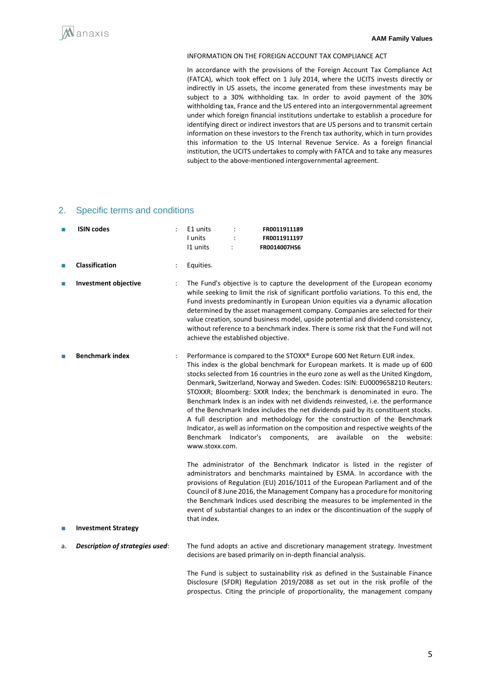

#### INFORMATION ON THE FOREIGN ACCOUNT TAX COMPLIANCE ACT

In accordance with the provisions of the Foreign Account Tax Compliance Act (FATCA), which took effect on 1 July 2014, where the UCITS invests directly or indirectly in US assets, the income generated from these investments may be subject to a 30% withholding tax. In order to avoid payment of the 30% withholding tax, France and the US entered into an intergovernmental agreement under which foreign financial institutions undertake to establish a procedure for identifying direct or indirect investors that are US persons and to transmit certain information on these investors to the French tax authority, which in turn provides this information to the US Internal Revenue Service. As a foreign financial institution, the UCITS undertakes to comply with FATCA and to take any measures subject to the above-mentioned intergovernmental agreement.

### 2. Specific terms and conditions

| П  | <b>ISIN codes</b>                        | E1 units<br>FR0011911189<br>I units<br>FR0011911197<br>11 units<br>FR0014007HS6                                                                                                                                                                                                                                                                                                                                                                                                                                                                                                                                                                                                                                                                                                                                                                       |
|----|------------------------------------------|-------------------------------------------------------------------------------------------------------------------------------------------------------------------------------------------------------------------------------------------------------------------------------------------------------------------------------------------------------------------------------------------------------------------------------------------------------------------------------------------------------------------------------------------------------------------------------------------------------------------------------------------------------------------------------------------------------------------------------------------------------------------------------------------------------------------------------------------------------|
| П  | <b>Classification</b><br>$\ddot{\cdot}$  | Equities.                                                                                                                                                                                                                                                                                                                                                                                                                                                                                                                                                                                                                                                                                                                                                                                                                                             |
| П  | <b>Investment objective</b>              | The Fund's objective is to capture the development of the European economy<br>while seeking to limit the risk of significant portfolio variations. To this end, the<br>Fund invests predominantly in European Union equities via a dynamic allocation<br>determined by the asset management company. Companies are selected for their<br>value creation, sound business model, upside potential and dividend consistency,<br>without reference to a benchmark index. There is some risk that the Fund will not<br>achieve the established objective.                                                                                                                                                                                                                                                                                                  |
| П  | <b>Benchmark index</b><br>$\ddot{\cdot}$ | Performance is compared to the STOXX® Europe 600 Net Return EUR index.<br>This index is the global benchmark for European markets. It is made up of 600<br>stocks selected from 16 countries in the euro zone as well as the United Kingdom,<br>Denmark, Switzerland, Norway and Sweden. Codes: ISIN: EU0009658210 Reuters:<br>STOXXR; Bloomberg: SXXR Index; the benchmark is denominated in euro. The<br>Benchmark Index is an index with net dividends reinvested, i.e. the performance<br>of the Benchmark Index includes the net dividends paid by its constituent stocks.<br>A full description and methodology for the construction of the Benchmark<br>Indicator, as well as information on the composition and respective weights of the<br>Benchmark<br>Indicator's components,<br>are<br>available on<br>the<br>website:<br>www.stoxx.com. |
|    |                                          | The administrator of the Benchmark Indicator is listed in the register of<br>administrators and benchmarks maintained by ESMA. In accordance with the<br>provisions of Regulation (EU) 2016/1011 of the European Parliament and of the<br>Council of 8 June 2016, the Management Company has a procedure for monitoring<br>the Benchmark Indices used describing the measures to be implemented in the<br>event of substantial changes to an index or the discontinuation of the supply of<br>that index.                                                                                                                                                                                                                                                                                                                                             |
| П  | <b>Investment Strategy</b>               |                                                                                                                                                                                                                                                                                                                                                                                                                                                                                                                                                                                                                                                                                                                                                                                                                                                       |
| a. | Description of strategies used:          | The fund adopts an active and discretionary management strategy. Investment<br>decisions are based primarily on in-depth financial analysis.                                                                                                                                                                                                                                                                                                                                                                                                                                                                                                                                                                                                                                                                                                          |
|    |                                          | The Fund is subject to sustainability risk as defined in the Sustainable Finance<br>Disclosure (SFDR) Regulation 2019/2088 as set out in the risk profile of the<br>prospectus. Citing the principle of proportionality, the management company                                                                                                                                                                                                                                                                                                                                                                                                                                                                                                                                                                                                       |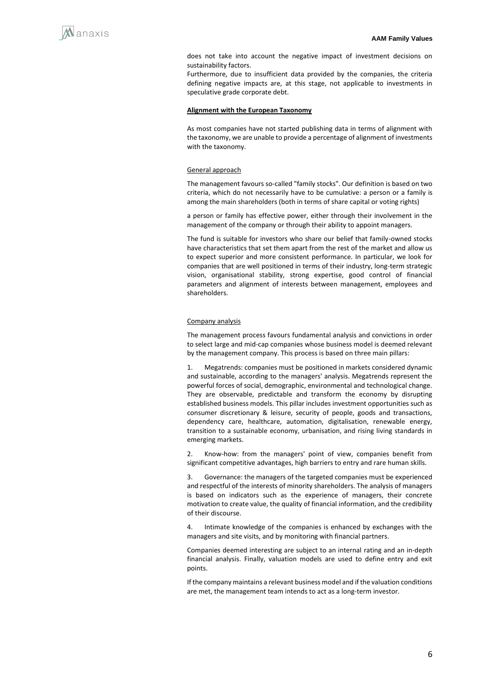

does not take into account the negative impact of investment decisions on sustainability factors.

Furthermore, due to insufficient data provided by the companies, the criteria defining negative impacts are, at this stage, not applicable to investments in speculative grade corporate debt.

#### **Alignment with the European Taxonomy**

As most companies have not started publishing data in terms of alignment with the taxonomy, we are unable to provide a percentage of alignment of investments with the taxonomy.

#### General approach

The management favours so-called "family stocks". Our definition is based on two criteria, which do not necessarily have to be cumulative: a person or a family is among the main shareholders (both in terms of share capital or voting rights)

a person or family has effective power, either through their involvement in the management of the company or through their ability to appoint managers.

The fund is suitable for investors who share our belief that family-owned stocks have characteristics that set them apart from the rest of the market and allow us to expect superior and more consistent performance. In particular, we look for companies that are well positioned in terms of their industry, long-term strategic vision, organisational stability, strong expertise, good control of financial parameters and alignment of interests between management, employees and shareholders.

#### Company analysis

The management process favours fundamental analysis and convictions in order to select large and mid-cap companies whose business model is deemed relevant by the management company. This process is based on three main pillars:

1. Megatrends: companies must be positioned in markets considered dynamic and sustainable, according to the managers' analysis. Megatrends represent the powerful forces of social, demographic, environmental and technological change. They are observable, predictable and transform the economy by disrupting established business models. This pillar includes investment opportunities such as consumer discretionary & leisure, security of people, goods and transactions, dependency care, healthcare, automation, digitalisation, renewable energy, transition to a sustainable economy, urbanisation, and rising living standards in emerging markets.

2. Know-how: from the managers' point of view, companies benefit from significant competitive advantages, high barriers to entry and rare human skills.

3. Governance: the managers of the targeted companies must be experienced and respectful of the interests of minority shareholders. The analysis of managers is based on indicators such as the experience of managers, their concrete motivation to create value, the quality of financial information, and the credibility of their discourse.

Intimate knowledge of the companies is enhanced by exchanges with the managers and site visits, and by monitoring with financial partners.

Companies deemed interesting are subject to an internal rating and an in-depth financial analysis. Finally, valuation models are used to define entry and exit points.

If the company maintains a relevant business model and if the valuation conditions are met, the management team intends to act as a long-term investor.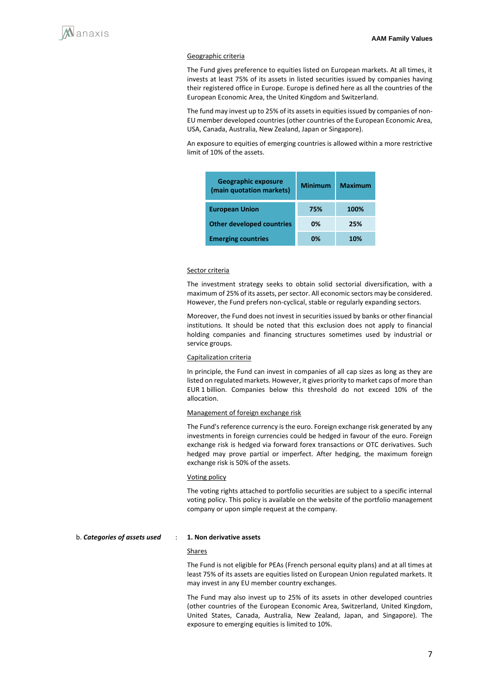#### Geographic criteria

The Fund gives preference to equities listed on European markets. At all times, it invests at least 75% of its assets in listed securities issued by companies having their registered office in Europe. Europe is defined here as all the countries of the European Economic Area, the United Kingdom and Switzerland.

The fund may invest up to 25% of its assets in equities issued by companies of non-EU member developed countries (other countries of the European Economic Area, USA, Canada, Australia, New Zealand, Japan or Singapore).

An exposure to equities of emerging countries is allowed within a more restrictive limit of 10% of the assets.

| <b>Geographic exposure</b><br>(main quotation markets) | <b>Minimum</b> | <b>Maximum</b> |
|--------------------------------------------------------|----------------|----------------|
| <b>European Union</b>                                  | 75%            | 100%           |
| <b>Other developed countries</b>                       | 0%             | 25%            |
| <b>Emerging countries</b>                              | 0%             | 10%            |

#### Sector criteria

The investment strategy seeks to obtain solid sectorial diversification, with a maximum of 25% of its assets, per sector. All economic sectors may be considered. However, the Fund prefers non-cyclical, stable or regularly expanding sectors.

Moreover, the Fund does not invest in securities issued by banks or other financial institutions. It should be noted that this exclusion does not apply to financial holding companies and financing structures sometimes used by industrial or service groups.

### Capitalization criteria

In principle, the Fund can invest in companies of all cap sizes as long as they are listed on regulated markets. However, it gives priority to market caps of more than EUR 1 billion. Companies below this threshold do not exceed 10% of the allocation.

#### Management of foreign exchange risk

The Fund's reference currency is the euro. Foreign exchange risk generated by any investments in foreign currencies could be hedged in favour of the euro. Foreign exchange risk is hedged via forward forex transactions or OTC derivatives. Such hedged may prove partial or imperfect. After hedging, the maximum foreign exchange risk is 50% of the assets.

#### Voting policy

The voting rights attached to portfolio securities are subject to a specific internal voting policy. This policy is available on the website of the portfolio management company or upon simple request at the company.

#### b. *Categories of assets used* : **1. Non derivative assets**

#### **Shares**

The Fund is not eligible for PEAs (French personal equity plans) and at all times at least 75% of its assets are equities listed on European Union regulated markets. It may invest in any EU member country exchanges.

The Fund may also invest up to 25% of its assets in other developed countries (other countries of the European Economic Area, Switzerland, United Kingdom, United States, Canada, Australia, New Zealand, Japan, and Singapore). The exposure to emerging equities is limited to 10%.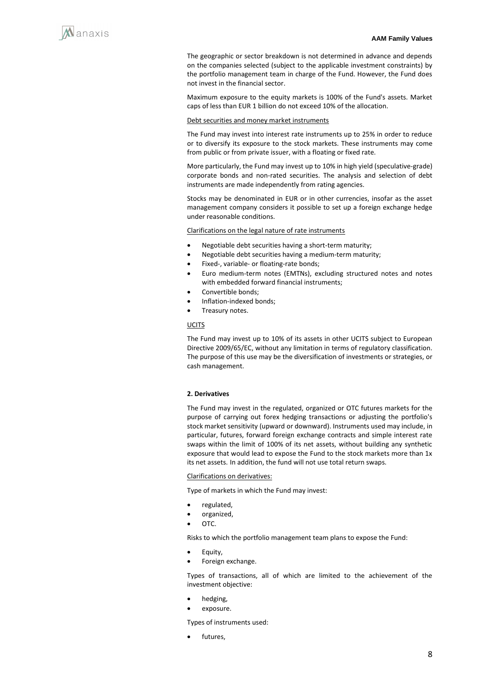

The geographic or sector breakdown is not determined in advance and depends on the companies selected (subject to the applicable investment constraints) by the portfolio management team in charge of the Fund. However, the Fund does not invest in the financial sector.

Maximum exposure to the equity markets is 100% of the Fund's assets. Market caps of less than EUR 1 billion do not exceed 10% of the allocation.

#### Debt securities and money market instruments

The Fund may invest into interest rate instruments up to 25% in order to reduce or to diversify its exposure to the stock markets. These instruments may come from public or from private issuer, with a floating or fixed rate.

More particularly, the Fund may invest up to 10% in high yield (speculative-grade) corporate bonds and non-rated securities. The analysis and selection of debt instruments are made independently from rating agencies.

Stocks may be denominated in EUR or in other currencies, insofar as the asset management company considers it possible to set up a foreign exchange hedge under reasonable conditions.

Clarifications on the legal nature of rate instruments

- Negotiable debt securities having a short-term maturity;
- Negotiable debt securities having a medium-term maturity;
- Fixed-, variable- or floating-rate bonds;
- Euro medium-term notes (EMTNs), excluding structured notes and notes with embedded forward financial instruments;
- Convertible bonds:
- Inflation-indexed bonds;
- Treasury notes.

#### **UCITS**

The Fund may invest up to 10% of its assets in other UCITS subject to European Directive 2009/65/EC, without any limitation in terms of regulatory classification. The purpose of this use may be the diversification of investments or strategies, or cash management.

#### **2. Derivatives**

The Fund may invest in the regulated, organized or OTC futures markets for the purpose of carrying out forex hedging transactions or adjusting the portfolio's stock market sensitivity (upward or downward). Instruments used may include, in particular, futures, forward foreign exchange contracts and simple interest rate swaps within the limit of 100% of its net assets, without building any synthetic exposure that would lead to expose the Fund to the stock markets more than 1x its net assets. In addition, the fund will not use total return swaps.

Clarifications on derivatives:

Type of markets in which the Fund may invest:

- regulated,
- organized,
- OTC.

Risks to which the portfolio management team plans to expose the Fund:

- Equity,
- Foreign exchange.

Types of transactions, all of which are limited to the achievement of the investment objective:

- hedging,
- exposure.

Types of instruments used:

futures,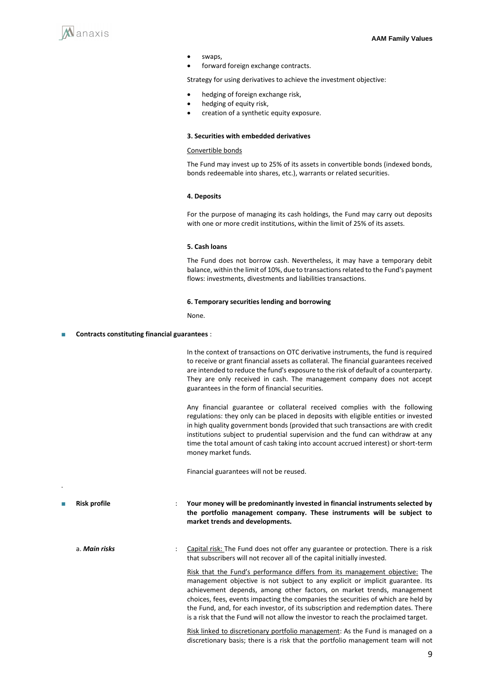

- swaps,
- forward foreign exchange contracts.

Strategy for using derivatives to achieve the investment objective:

- hedging of foreign exchange risk,
- hedging of equity risk,
- creation of a synthetic equity exposure.

#### **3. Securities with embedded derivatives**

#### Convertible bonds

The Fund may invest up to 25% of its assets in convertible bonds (indexed bonds, bonds redeemable into shares, etc.), warrants or related securities.

#### **4. Deposits**

For the purpose of managing its cash holdings, the Fund may carry out deposits with one or more credit institutions, within the limit of 25% of its assets.

#### **5. Cash loans**

The Fund does not borrow cash. Nevertheless, it may have a temporary debit balance, within the limit of 10%, due to transactions related to the Fund's payment flows: investments, divestments and liabilities transactions.

#### **6. Temporary securities lending and borrowing**

None.

#### **Contracts constituting financial guarantees** :

In the context of transactions on OTC derivative instruments, the fund is required to receive or grant financial assets as collateral. The financial guarantees received are intended to reduce the fund's exposure to the risk of default of a counterparty. They are only received in cash. The management company does not accept guarantees in the form of financial securities.

Any financial guarantee or collateral received complies with the following regulations: they only can be placed in deposits with eligible entities or invested in high quality government bonds (provided that such transactions are with credit institutions subject to prudential supervision and the fund can withdraw at any time the total amount of cash taking into account accrued interest) or short-term money market funds.

Financial guarantees will not be reused.

■ **Risk profile** : **Your money will be predominantly invested in financial instruments selected by the portfolio management company. These instruments will be subject to market trends and developments.** 

.

a. **Main risks** : Capital risk: The Fund does not offer any guarantee or protection. There is a risk that subscribers will not recover all of the capital initially invested.

> Risk that the Fund's performance differs from its management objective: The management objective is not subject to any explicit or implicit guarantee. Its achievement depends, among other factors, on market trends, management choices, fees, events impacting the companies the securities of which are held by the Fund, and, for each investor, of its subscription and redemption dates. There is a risk that the Fund will not allow the investor to reach the proclaimed target.

> Risk linked to discretionary portfolio management: As the Fund is managed on a discretionary basis; there is a risk that the portfolio management team will not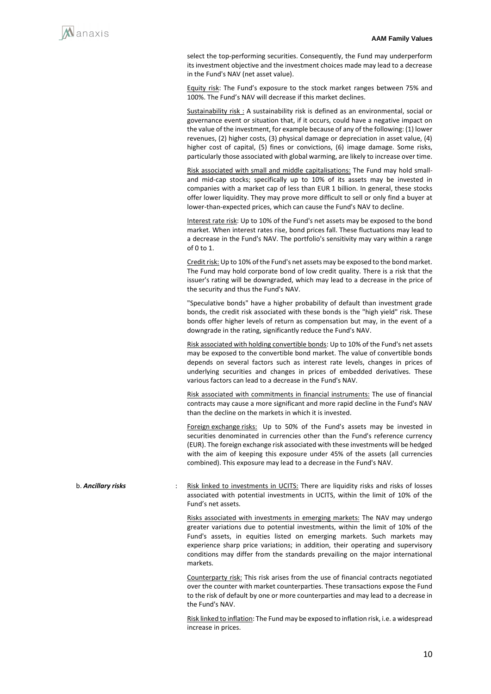select the top-performing securities. Consequently, the Fund may underperform its investment objective and the investment choices made may lead to a decrease in the Fund's NAV (net asset value).

Equity risk: The Fund's exposure to the stock market ranges between 75% and 100%. The Fund's NAV will decrease if this market declines.

Sustainability risk : A sustainability risk is defined as an environmental, social or governance event or situation that, if it occurs, could have a negative impact on the value of the investment, for example because of any of the following: (1) lower revenues, (2) higher costs, (3) physical damage or depreciation in asset value, (4) higher cost of capital, (5) fines or convictions, (6) image damage. Some risks, particularly those associated with global warming, are likely to increase over time.

Risk associated with small and middle capitalisations: The Fund may hold smalland mid-cap stocks; specifically up to 10% of its assets may be invested in companies with a market cap of less than EUR 1 billion. In general, these stocks offer lower liquidity. They may prove more difficult to sell or only find a buyer at lower-than-expected prices, which can cause the Fund's NAV to decline.

Interest rate risk: Up to 10% of the Fund's net assets may be exposed to the bond market. When interest rates rise, bond prices fall. These fluctuations may lead to a decrease in the Fund's NAV. The portfolio's sensitivity may vary within a range of 0 to 1.

Credit risk: Up to 10% of the Fund's net assets may be exposed to the bond market. The Fund may hold corporate bond of low credit quality. There is a risk that the issuer's rating will be downgraded, which may lead to a decrease in the price of the security and thus the Fund's NAV.

"Speculative bonds" have a higher probability of default than investment grade bonds, the credit risk associated with these bonds is the "high yield" risk. These bonds offer higher levels of return as compensation but may, in the event of a downgrade in the rating, significantly reduce the Fund's NAV.

Risk associated with holding convertible bonds: Up to 10% of the Fund's net assets may be exposed to the convertible bond market. The value of convertible bonds depends on several factors such as interest rate levels, changes in prices of underlying securities and changes in prices of embedded derivatives. These various factors can lead to a decrease in the Fund's NAV.

Risk associated with commitments in financial instruments: The use of financial contracts may cause a more significant and more rapid decline in the Fund's NAV than the decline on the markets in which it is invested.

Foreign exchange risks: Up to 50% of the Fund's assets may be invested in securities denominated in currencies other than the Fund's reference currency (EUR). The foreign exchange risk associated with these investments will be hedged with the aim of keeping this exposure under 45% of the assets (all currencies combined). This exposure may lead to a decrease in the Fund's NAV.

b. **Ancillary risks** : Risk linked to investments in UCITS: There are liquidity risks and risks of losses associated with potential investments in UCITS, within the limit of 10% of the Fund's net assets.

> Risks associated with investments in emerging markets: The NAV may undergo greater variations due to potential investments, within the limit of 10% of the Fund's assets, in equities listed on emerging markets. Such markets may experience sharp price variations; in addition, their operating and supervisory conditions may differ from the standards prevailing on the major international markets.

> Counterparty risk: This risk arises from the use of financial contracts negotiated over the counter with market counterparties. These transactions expose the Fund to the risk of default by one or more counterparties and may lead to a decrease in the Fund's NAV.

> Risk linked to inflation: The Fund may be exposed to inflation risk, i.e. a widespread increase in prices.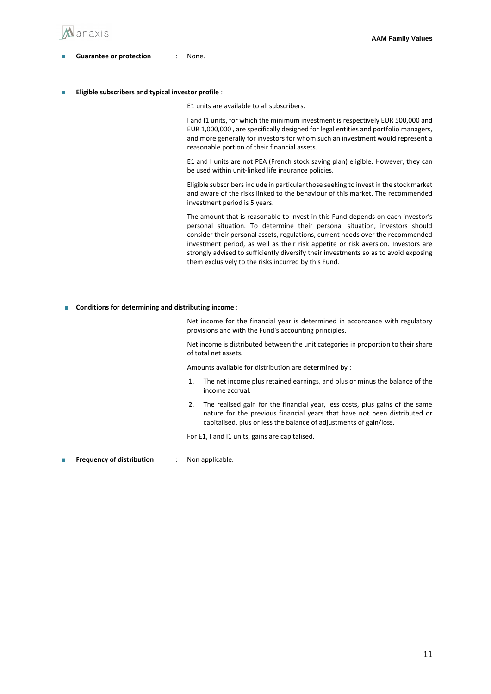

#### ■ **Guarantee or protection** : None.

**Eligible subscribers and typical investor profile**:

E1 units are available to all subscribers.

I and I1 units, for which the minimum investment is respectively EUR 500,000 and EUR 1,000,000 , are specifically designed for legal entities and portfolio managers, and more generally for investors for whom such an investment would represent a reasonable portion of their financial assets.

E1 and I units are not PEA (French stock saving plan) eligible. However, they can be used within unit-linked life insurance policies.

Eligible subscribersinclude in particular those seeking to invest in the stock market and aware of the risks linked to the behaviour of this market. The recommended investment period is 5 years.

The amount that is reasonable to invest in this Fund depends on each investor's personal situation. To determine their personal situation, investors should consider their personal assets, regulations, current needs over the recommended investment period, as well as their risk appetite or risk aversion. Investors are strongly advised to sufficiently diversify their investments so as to avoid exposing them exclusively to the risks incurred by this Fund.

■ **Conditions for determining and distributing income** :

Net income for the financial year is determined in accordance with regulatory provisions and with the Fund's accounting principles.

Net income is distributed between the unit categories in proportion to their share of total net assets.

Amounts available for distribution are determined by :

- 1. The net income plus retained earnings, and plus or minus the balance of the income accrual.
- 2. The realised gain for the financial year, less costs, plus gains of the same nature for the previous financial years that have not been distributed or capitalised, plus or less the balance of adjustments of gain/loss.

For E1, I and I1 units, gains are capitalised.

**Frequency of distribution** : Non applicable.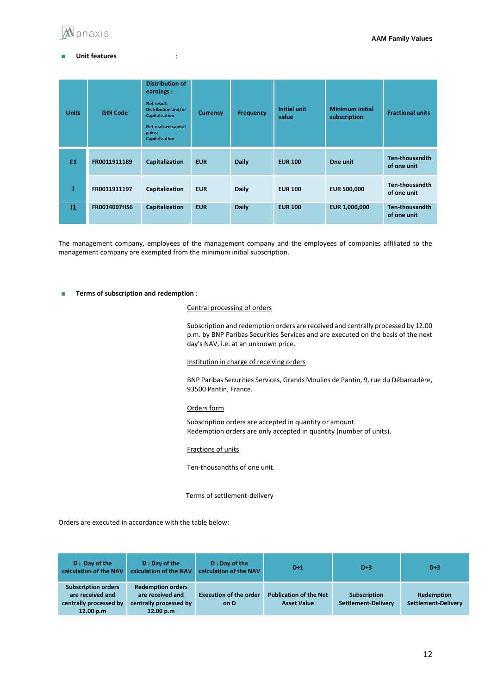

#### ■ **Unit features** :

| <b>Units</b>  | <b>ISIN Code</b> | <b>Distribution of</b><br>earnings :<br>Net result:<br><b>Distribution and/or</b><br><b>Capitalisation</b><br>Net realised capital<br>gains:<br><b>Capitalisation</b> | <b>Currency</b> | <b>Frequency</b> | <b>Initial unit</b><br>value | <b>Minimum initial</b><br>subscription | <b>Fractional units</b>              |
|---------------|------------------|-----------------------------------------------------------------------------------------------------------------------------------------------------------------------|-----------------|------------------|------------------------------|----------------------------------------|--------------------------------------|
| <b>E1</b>     | FR0011911189     | Capitalization                                                                                                                                                        | <b>EUR</b>      | <b>Daily</b>     | <b>EUR 100</b>               | One unit                               | Ten-thousandth<br>of one unit        |
|               | FR0011911197     | Capitalization                                                                                                                                                        | <b>EUR</b>      | <b>Daily</b>     | <b>EUR 100</b>               | <b>EUR 500,000</b>                     | Ten-thousandth<br>of one unit        |
| $\mathbf{11}$ | FR0014007HS6     | Capitalization                                                                                                                                                        | <b>EUR</b>      | <b>Daily</b>     | <b>EUR 100</b>               | EUR 1,000,000                          | <b>Ten-thousandth</b><br>of one unit |

The management company, employees of the management company and the employees of companies affiliated to the management company are exempted from the minimum initial subscription.

#### ■ **Terms of subscription and redemption** :

#### Central processing of orders

Subscription and redemption orders are received and centrally processed by 12.00 p.m. by BNP Paribas Securities Services and are executed on the basis of the next day's NAV, i.e. at an unknown price.

#### Institution in charge of receiving orders

BNP Paribas Securities Services, Grands Moulins de Pantin, 9, rue du Débarcadère, 93500 Pantin, France.

#### Orders form

Subscription orders are accepted in quantity or amount. Redemption orders are only accepted in quantity (number of units).

Fractions of units

Ten-thousandths of one unit.

#### Terms of settlement-delivery

Orders are executed in accordance with the table below:

| D: Day of the<br>calculation of the NAV                                               | D: Day of the<br>calculation of the NAV                                             | D: Day of the<br>calculation of the NAV | $D+1$                                               | $D+3$                                             | $D+3$                                    |
|---------------------------------------------------------------------------------------|-------------------------------------------------------------------------------------|-----------------------------------------|-----------------------------------------------------|---------------------------------------------------|------------------------------------------|
| <b>Subscription orders</b><br>are received and<br>centrally processed by<br>12.00 p.m | <b>Redemption orders</b><br>are received and<br>centrally processed by<br>12.00 p.m | <b>Execution of the order</b><br>on D   | <b>Publication of the Net</b><br><b>Asset Value</b> | <b>Subscription</b><br><b>Settlement-Delivery</b> | <b>Redemption</b><br>Settlement-Delivery |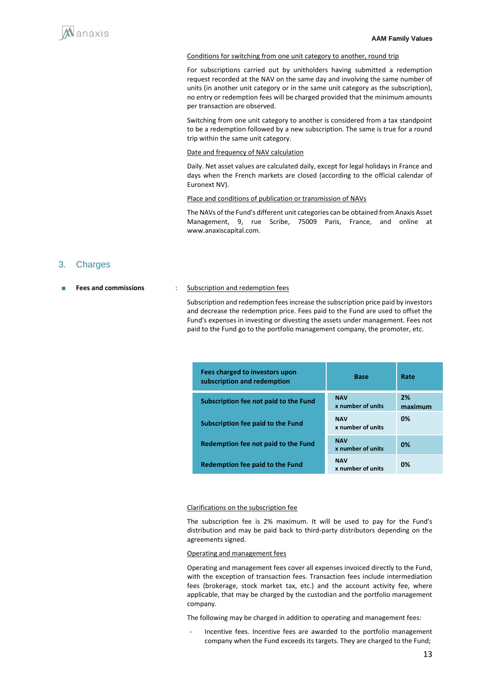#### Conditions for switching from one unit category to another, round trip

For subscriptions carried out by unitholders having submitted a redemption request recorded at the NAV on the same day and involving the same number of units (in another unit category or in the same unit category as the subscription), no entry or redemption fees will be charged provided that the minimum amounts per transaction are observed.

Switching from one unit category to another is considered from a tax standpoint to be a redemption followed by a new subscription. The same is true for a round trip within the same unit category.

#### Date and frequency of NAV calculation

Daily. Net asset values are calculated daily, except for legal holidays in France and days when the French markets are closed (according to the official calendar of Euronext NV).

#### Place and conditions of publication or transmission of NAVs

The NAVs of the Fund's different unit categories can be obtained from Anaxis Asset Management, 9, rue Scribe, 75009 Paris, France, and online at www.anaxiscapital.com.

### 3. Charges

#### ■ **Fees and commissions** : Subscription and redemption fees

Subscription and redemption fees increase the subscription price paid by investors and decrease the redemption price. Fees paid to the Fund are used to offset the Fund's expenses in investing or divesting the assets under management. Fees not paid to the Fund go to the portfolio management company, the promoter, etc.

| Fees charged to investors upon<br>subscription and redemption | <b>Base</b>                     | Rate          |
|---------------------------------------------------------------|---------------------------------|---------------|
| Subscription fee not paid to the Fund                         | <b>NAV</b><br>x number of units | 2%<br>maximum |
| <b>Subscription fee paid to the Fund</b>                      | <b>NAV</b><br>x number of units | 0%            |
| Redemption fee not paid to the Fund                           | <b>NAV</b><br>x number of units | 0%            |
| Redemption fee paid to the Fund                               | <b>NAV</b><br>x number of units | 0%            |

#### Clarifications on the subscription fee

The subscription fee is 2% maximum. It will be used to pay for the Fund's distribution and may be paid back to third-party distributors depending on the agreements signed.

#### Operating and management fees

Operating and management fees cover all expenses invoiced directly to the Fund, with the exception of transaction fees. Transaction fees include intermediation fees (brokerage, stock market tax, etc.) and the account activity fee, where applicable, that may be charged by the custodian and the portfolio management company.

The following may be charged in addition to operating and management fees:

Incentive fees. Incentive fees are awarded to the portfolio management company when the Fund exceeds its targets. They are charged to the Fund;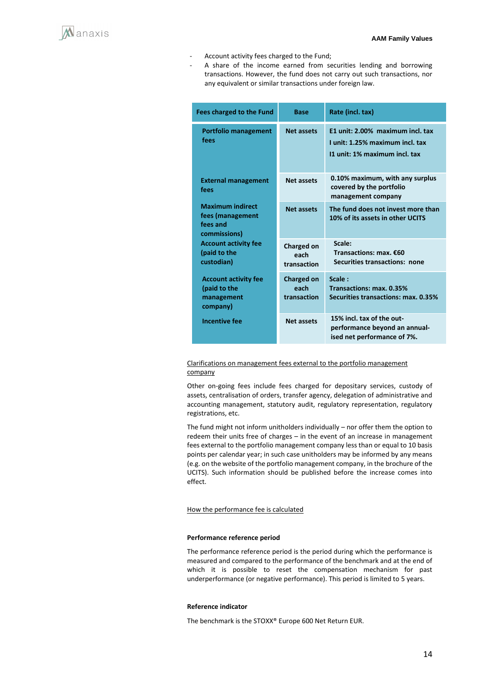

- Account activity fees charged to the Fund;
	- A share of the income earned from securities lending and borrowing transactions. However, the fund does not carry out such transactions, nor any equivalent or similar transactions under foreign law.

| Fees charged to the Fund                                                | <b>Base</b>                              | Rate (incl. tax)                                                                                     |
|-------------------------------------------------------------------------|------------------------------------------|------------------------------------------------------------------------------------------------------|
| <b>Portfolio management</b><br>fees                                     | <b>Net assets</b>                        | E1 unit: 2.00% maximum incl. tax<br>I unit: 1.25% maximum incl. tax<br>11 unit: 1% maximum incl. tax |
| <b>External management</b><br>fees                                      | <b>Net assets</b>                        | 0.10% maximum, with any surplus<br>covered by the portfolio<br>management company                    |
| <b>Maximum indirect</b><br>fees (management<br>fees and<br>commissions) | <b>Net assets</b>                        | The fund does not invest more than<br>10% of its assets in other UCITS                               |
| <b>Account activity fee</b><br>(paid to the<br>custodian)               | Charged on<br>each<br>transaction        | Scale:<br>Transactions: max. €60<br>Securities transactions: none                                    |
| <b>Account activity fee</b><br>(paid to the<br>management<br>company)   | <b>Charged on</b><br>each<br>transaction | Scale:<br>Transactions: max. 0.35%<br>Securities transactions: max. 0.35%                            |
| <b>Incentive fee</b>                                                    | <b>Net assets</b>                        | 15% incl. tax of the out-<br>performance beyond an annual-<br>ised net performance of 7%.            |

Clarifications on management fees external to the portfolio management company

Other on-going fees include fees charged for depositary services, custody of assets, centralisation of orders, transfer agency, delegation of administrative and accounting management, statutory audit, regulatory representation, regulatory registrations, etc.

The fund might not inform unitholders individually – nor offer them the option to redeem their units free of charges – in the event of an increase in management fees external to the portfolio management company less than or equal to 10 basis points per calendar year; in such case unitholders may be informed by any means (e.g. on the website of the portfolio management company, in the brochure of the UCITS). Such information should be published before the increase comes into effect.

#### How the performance fee is calculated

#### **Performance reference period**

The performance reference period is the period during which the performance is measured and compared to the performance of the benchmark and at the end of which it is possible to reset the compensation mechanism for past underperformance (or negative performance). This period is limited to 5 years.

#### **Reference indicator**

The benchmark is the STOXX® Europe 600 Net Return EUR.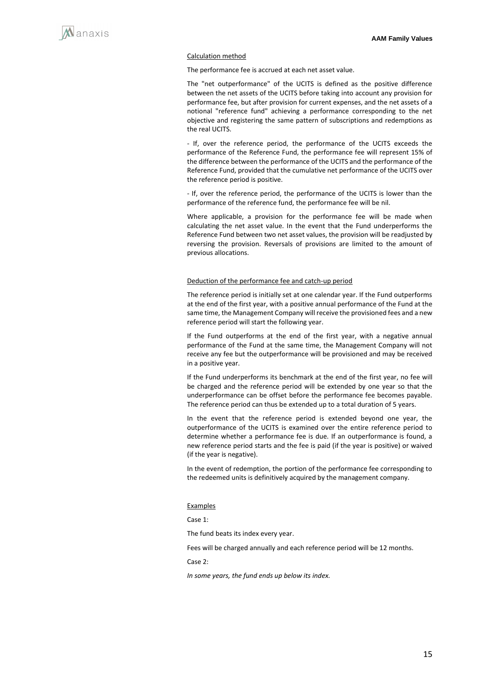

#### Calculation method

The performance fee is accrued at each net asset value.

The "net outperformance" of the UCITS is defined as the positive difference between the net assets of the UCITS before taking into account any provision for performance fee, but after provision for current expenses, and the net assets of a notional "reference fund" achieving a performance corresponding to the net objective and registering the same pattern of subscriptions and redemptions as the real UCITS.

- If, over the reference period, the performance of the UCITS exceeds the performance of the Reference Fund, the performance fee will represent 15% of the difference between the performance of the UCITS and the performance of the Reference Fund, provided that the cumulative net performance of the UCITS over the reference period is positive.

- If, over the reference period, the performance of the UCITS is lower than the performance of the reference fund, the performance fee will be nil.

Where applicable, a provision for the performance fee will be made when calculating the net asset value. In the event that the Fund underperforms the Reference Fund between two net asset values, the provision will be readjusted by reversing the provision. Reversals of provisions are limited to the amount of previous allocations.

#### Deduction of the performance fee and catch-up period

The reference period is initially set at one calendar year. If the Fund outperforms at the end of the first year, with a positive annual performance of the Fund at the same time, the Management Company will receive the provisioned fees and a new reference period will start the following year.

If the Fund outperforms at the end of the first year, with a negative annual performance of the Fund at the same time, the Management Company will not receive any fee but the outperformance will be provisioned and may be received in a positive year.

If the Fund underperforms its benchmark at the end of the first year, no fee will be charged and the reference period will be extended by one year so that the underperformance can be offset before the performance fee becomes payable. The reference period can thus be extended up to a total duration of 5 years.

In the event that the reference period is extended beyond one year, the outperformance of the UCITS is examined over the entire reference period to determine whether a performance fee is due. If an outperformance is found, a new reference period starts and the fee is paid (if the year is positive) or waived (if the year is negative).

In the event of redemption, the portion of the performance fee corresponding to the redeemed units is definitively acquired by the management company.

#### Examples

Case 1:

The fund beats its index every year.

Fees will be charged annually and each reference period will be 12 months.

Case 2:

*In some years, the fund ends up below its index.*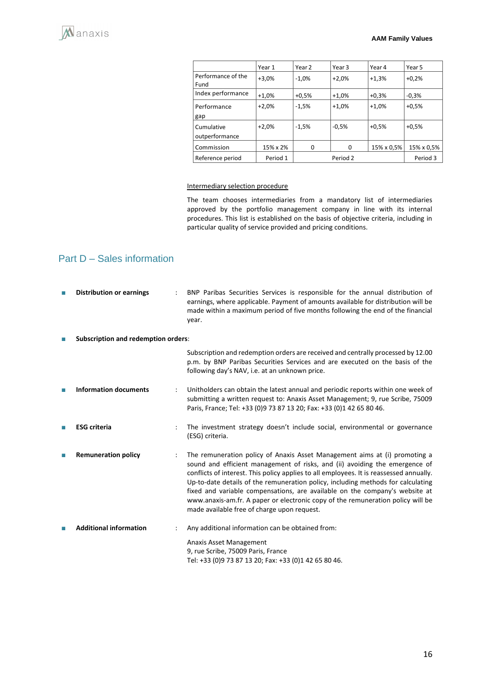|                              | Year 1   | Year 2  | Year 3   | Year 4     | Year 5     |
|------------------------------|----------|---------|----------|------------|------------|
| Performance of the<br>Fund   | $+3,0%$  | $-1.0%$ | $+2.0%$  | $+1.3%$    | $+0.2%$    |
| Index performance            | $+1,0%$  | $+0.5%$ | $+1.0%$  | $+0.3%$    | $-0,3%$    |
| Performance<br>gap           | $+2,0%$  | $-1.5%$ | $+1,0%$  | $+1.0%$    | $+0.5%$    |
| Cumulative<br>outperformance | $+2.0%$  | $-1.5%$ | $-0.5%$  | $+0.5%$    | $+0.5%$    |
| Commission                   | 15% x 2% | 0       | 0        | 15% x 0,5% | 15% x 0,5% |
| Reference period             | Period 1 |         | Period 2 |            | Period 3   |

#### Intermediary selection procedure

The team chooses intermediaries from a mandatory list of intermediaries approved by the portfolio management company in line with its internal procedures. This list is established on the basis of objective criteria, including in particular quality of service provided and pricing conditions.

# Part D – Sales information

| П | <b>Distribution or earnings</b>            | BNP Paribas Securities Services is responsible for the annual distribution of<br>earnings, where applicable. Payment of amounts available for distribution will be<br>made within a maximum period of five months following the end of the financial<br>year.                                                                                                                                                                                                                                                                                             |
|---|--------------------------------------------|-----------------------------------------------------------------------------------------------------------------------------------------------------------------------------------------------------------------------------------------------------------------------------------------------------------------------------------------------------------------------------------------------------------------------------------------------------------------------------------------------------------------------------------------------------------|
| ш | <b>Subscription and redemption orders:</b> |                                                                                                                                                                                                                                                                                                                                                                                                                                                                                                                                                           |
|   |                                            | Subscription and redemption orders are received and centrally processed by 12.00<br>p.m. by BNP Paribas Securities Services and are executed on the basis of the<br>following day's NAV, i.e. at an unknown price.                                                                                                                                                                                                                                                                                                                                        |
|   | <b>Information documents</b>               | Unitholders can obtain the latest annual and periodic reports within one week of<br>submitting a written request to: Anaxis Asset Management; 9, rue Scribe, 75009<br>Paris, France; Tel: +33 (0)9 73 87 13 20; Fax: +33 (0)1 42 65 80 46.                                                                                                                                                                                                                                                                                                                |
|   | <b>ESG</b> criteria                        | The investment strategy doesn't include social, environmental or governance<br>(ESG) criteria.                                                                                                                                                                                                                                                                                                                                                                                                                                                            |
| П | <b>Remuneration policy</b>                 | The remuneration policy of Anaxis Asset Management aims at (i) promoting a<br>sound and efficient management of risks, and (ii) avoiding the emergence of<br>conflicts of interest. This policy applies to all employees. It is reassessed annually.<br>Up-to-date details of the remuneration policy, including methods for calculating<br>fixed and variable compensations, are available on the company's website at<br>www.anaxis-am.fr. A paper or electronic copy of the remuneration policy will be<br>made available free of charge upon request. |
| П | <b>Additional information</b>              | Any additional information can be obtained from:                                                                                                                                                                                                                                                                                                                                                                                                                                                                                                          |
|   |                                            | Anaxis Asset Management<br>9, rue Scribe, 75009 Paris, France<br>Tel: +33 (0)9 73 87 13 20; Fax: +33 (0)1 42 65 80 46.                                                                                                                                                                                                                                                                                                                                                                                                                                    |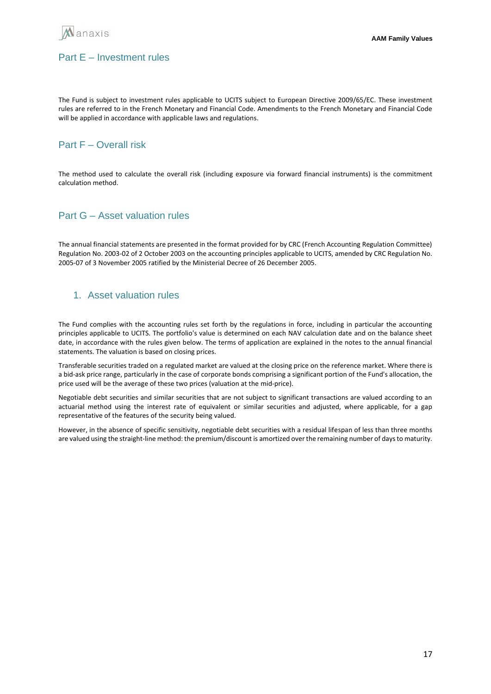

# Part E – Investment rules

The Fund is subject to investment rules applicable to UCITS subject to European Directive 2009/65/EC. These investment rules are referred to in the French Monetary and Financial Code. Amendments to the French Monetary and Financial Code will be applied in accordance with applicable laws and regulations.

# Part F – Overall risk

The method used to calculate the overall risk (including exposure via forward financial instruments) is the commitment calculation method.

# Part G – Asset valuation rules

The annual financial statements are presented in the format provided for by CRC (French Accounting Regulation Committee) Regulation No. 2003-02 of 2 October 2003 on the accounting principles applicable to UCITS, amended by CRC Regulation No. 2005-07 of 3 November 2005 ratified by the Ministerial Decree of 26 December 2005.

# 1. Asset valuation rules

The Fund complies with the accounting rules set forth by the regulations in force, including in particular the accounting principles applicable to UCITS. The portfolio's value is determined on each NAV calculation date and on the balance sheet date, in accordance with the rules given below. The terms of application are explained in the notes to the annual financial statements. The valuation is based on closing prices.

Transferable securities traded on a regulated market are valued at the closing price on the reference market. Where there is a bid-ask price range, particularly in the case of corporate bonds comprising a significant portion of the Fund's allocation, the price used will be the average of these two prices (valuation at the mid-price).

Negotiable debt securities and similar securities that are not subject to significant transactions are valued according to an actuarial method using the interest rate of equivalent or similar securities and adjusted, where applicable, for a gap representative of the features of the security being valued.

However, in the absence of specific sensitivity, negotiable debt securities with a residual lifespan of less than three months are valued using the straight-line method: the premium/discount is amortized over the remaining number of days to maturity.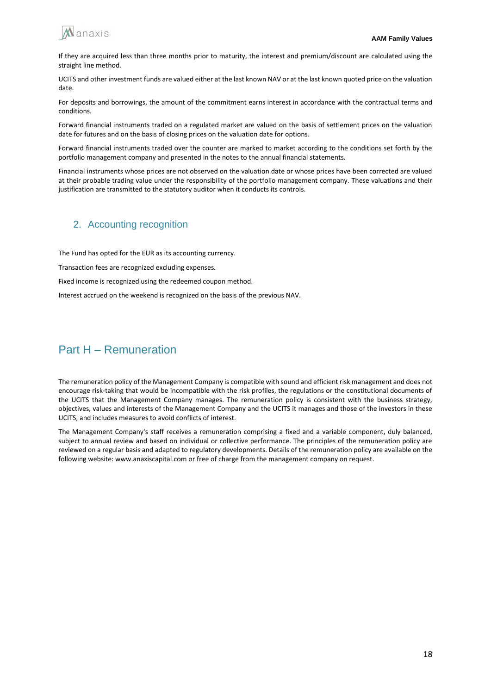

If they are acquired less than three months prior to maturity, the interest and premium/discount are calculated using the straight line method.

UCITS and other investment funds are valued either at the last known NAV or at the last known quoted price on the valuation date.

For deposits and borrowings, the amount of the commitment earns interest in accordance with the contractual terms and conditions.

Forward financial instruments traded on a regulated market are valued on the basis of settlement prices on the valuation date for futures and on the basis of closing prices on the valuation date for options.

Forward financial instruments traded over the counter are marked to market according to the conditions set forth by the portfolio management company and presented in the notes to the annual financial statements.

Financial instruments whose prices are not observed on the valuation date or whose prices have been corrected are valued at their probable trading value under the responsibility of the portfolio management company. These valuations and their justification are transmitted to the statutory auditor when it conducts its controls.

### 2. Accounting recognition

The Fund has opted for the EUR as its accounting currency.

Transaction fees are recognized excluding expenses.

Fixed income is recognized using the redeemed coupon method.

Interest accrued on the weekend is recognized on the basis of the previous NAV.

# Part H – Remuneration

The remuneration policy of the Management Company is compatible with sound and efficient risk management and does not encourage risk-taking that would be incompatible with the risk profiles, the regulations or the constitutional documents of the UCITS that the Management Company manages. The remuneration policy is consistent with the business strategy, objectives, values and interests of the Management Company and the UCITS it manages and those of the investors in these UCITS, and includes measures to avoid conflicts of interest.

The Management Company's staff receives a remuneration comprising a fixed and a variable component, duly balanced, subject to annual review and based on individual or collective performance. The principles of the remuneration policy are reviewed on a regular basis and adapted to regulatory developments. Details of the remuneration policy are available on the following website: www.anaxiscapital.com or free of charge from the management company on request.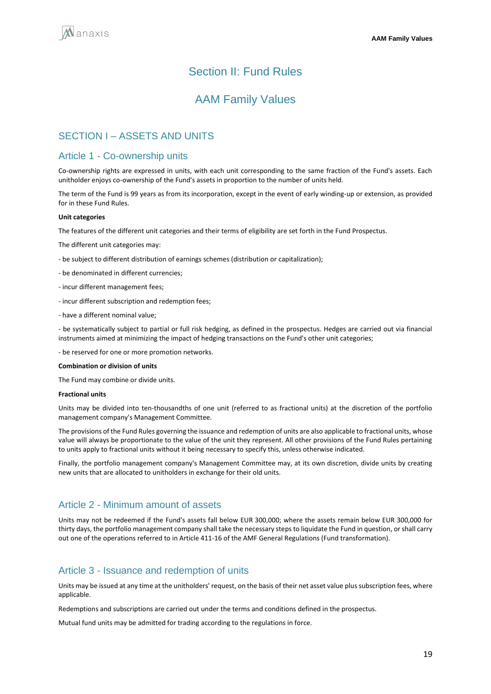# Section II: Fund Rules

# AAM Family Values

# SECTION I – ASSETS AND UNITS

## Article 1 - Co-ownership units

Co-ownership rights are expressed in units, with each unit corresponding to the same fraction of the Fund's assets. Each unitholder enjoys co-ownership of the Fund's assets in proportion to the number of units held.

The term of the Fund is 99 years as from its incorporation, except in the event of early winding-up or extension, as provided for in these Fund Rules.

#### **Unit categories**

The features of the different unit categories and their terms of eligibility are set forth in the Fund Prospectus.

The different unit categories may:

- be subject to different distribution of earnings schemes (distribution or capitalization);
- be denominated in different currencies;
- incur different management fees;
- incur different subscription and redemption fees;
- have a different nominal value;

- be systematically subject to partial or full risk hedging, as defined in the prospectus. Hedges are carried out via financial instruments aimed at minimizing the impact of hedging transactions on the Fund's other unit categories;

- be reserved for one or more promotion networks.

#### **Combination or division of units**

The Fund may combine or divide units.

#### **Fractional units**

Units may be divided into ten-thousandths of one unit (referred to as fractional units) at the discretion of the portfolio management company's Management Committee.

The provisions of the Fund Rules governing the issuance and redemption of units are also applicable to fractional units, whose value will always be proportionate to the value of the unit they represent. All other provisions of the Fund Rules pertaining to units apply to fractional units without it being necessary to specify this, unless otherwise indicated.

Finally, the portfolio management company's Management Committee may, at its own discretion, divide units by creating new units that are allocated to unitholders in exchange for their old units.

## Article 2 - Minimum amount of assets

Units may not be redeemed if the Fund's assets fall below EUR 300,000; where the assets remain below EUR 300,000 for thirty days, the portfolio management company shall take the necessary steps to liquidate the Fund in question, or shall carry out one of the operations referred to in Article 411-16 of the AMF General Regulations (Fund transformation).

# Article 3 - Issuance and redemption of units

Units may be issued at any time at the unitholders' request, on the basis of their net asset value plus subscription fees, where applicable.

Redemptions and subscriptions are carried out under the terms and conditions defined in the prospectus.

Mutual fund units may be admitted for trading according to the regulations in force.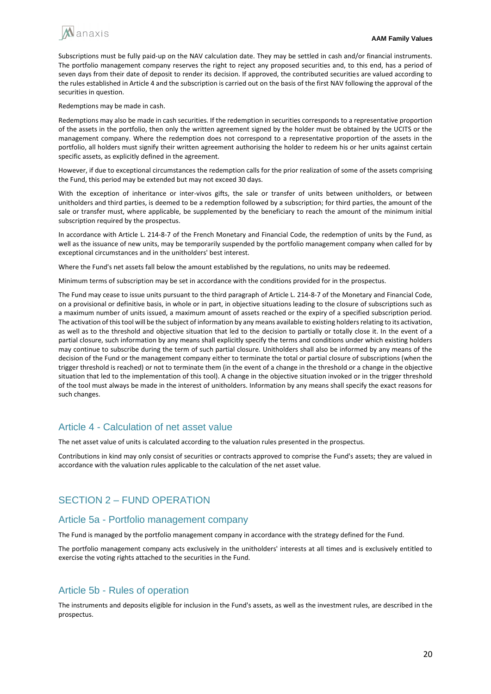

Subscriptions must be fully paid-up on the NAV calculation date. They may be settled in cash and/or financial instruments. The portfolio management company reserves the right to reject any proposed securities and, to this end, has a period of seven days from their date of deposit to render its decision. If approved, the contributed securities are valued according to the rules established in Article 4 and the subscription is carried out on the basis of the first NAV following the approval of the securities in question.

Redemptions may be made in cash.

Redemptions may also be made in cash securities. If the redemption in securities corresponds to a representative proportion of the assets in the portfolio, then only the written agreement signed by the holder must be obtained by the UCITS or the management company. Where the redemption does not correspond to a representative proportion of the assets in the portfolio, all holders must signify their written agreement authorising the holder to redeem his or her units against certain specific assets, as explicitly defined in the agreement.

However, if due to exceptional circumstances the redemption calls for the prior realization of some of the assets comprising the Fund, this period may be extended but may not exceed 30 days.

With the exception of inheritance or inter-vivos gifts, the sale or transfer of units between unitholders, or between unitholders and third parties, is deemed to be a redemption followed by a subscription; for third parties, the amount of the sale or transfer must, where applicable, be supplemented by the beneficiary to reach the amount of the minimum initial subscription required by the prospectus.

In accordance with Article L. 214-8-7 of the French Monetary and Financial Code, the redemption of units by the Fund, as well as the issuance of new units, may be temporarily suspended by the portfolio management company when called for by exceptional circumstances and in the unitholders' best interest.

Where the Fund's net assets fall below the amount established by the regulations, no units may be redeemed.

Minimum terms of subscription may be set in accordance with the conditions provided for in the prospectus.

The Fund may cease to issue units pursuant to the third paragraph of Article L. 214-8-7 of the Monetary and Financial Code, on a provisional or definitive basis, in whole or in part, in objective situations leading to the closure of subscriptions such as a maximum number of units issued, a maximum amount of assets reached or the expiry of a specified subscription period. The activation of this tool will be the subject of information by any means available to existing holders relating to its activation, as well as to the threshold and objective situation that led to the decision to partially or totally close it. In the event of a partial closure, such information by any means shall explicitly specify the terms and conditions under which existing holders may continue to subscribe during the term of such partial closure. Unitholders shall also be informed by any means of the decision of the Fund or the management company either to terminate the total or partial closure of subscriptions (when the trigger threshold is reached) or not to terminate them (in the event of a change in the threshold or a change in the objective situation that led to the implementation of this tool). A change in the objective situation invoked or in the trigger threshold of the tool must always be made in the interest of unitholders. Information by any means shall specify the exact reasons for such changes.

## Article 4 - Calculation of net asset value

The net asset value of units is calculated according to the valuation rules presented in the prospectus.

Contributions in kind may only consist of securities or contracts approved to comprise the Fund's assets; they are valued in accordance with the valuation rules applicable to the calculation of the net asset value.

# SECTION 2 – FUND OPERATION

### Article 5a - Portfolio management company

The Fund is managed by the portfolio management company in accordance with the strategy defined for the Fund.

The portfolio management company acts exclusively in the unitholders' interests at all times and is exclusively entitled to exercise the voting rights attached to the securities in the Fund.

# Article 5b - Rules of operation

The instruments and deposits eligible for inclusion in the Fund's assets, as well as the investment rules, are described in the prospectus.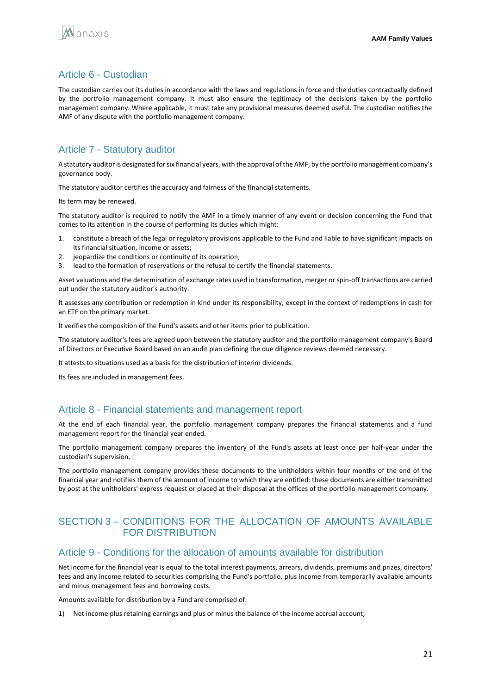

# Article 6 - Custodian

The custodian carries out its duties in accordance with the laws and regulations in force and the duties contractually defined by the portfolio management company. It must also ensure the legitimacy of the decisions taken by the portfolio management company. Where applicable, it must take any provisional measures deemed useful. The custodian notifies the AMF of any dispute with the portfolio management company.

# Article 7 - Statutory auditor

A statutory auditor is designated for six financial years, with the approval of the AMF, by the portfolio management company's governance body.

The statutory auditor certifies the accuracy and fairness of the financial statements.

Its term may be renewed.

The statutory auditor is required to notify the AMF in a timely manner of any event or decision concerning the Fund that comes to its attention in the course of performing its duties which might:

- 1. constitute a breach of the legal or regulatory provisions applicable to the Fund and liable to have significant impacts on its financial situation, income or assets;
- 2. jeopardize the conditions or continuity of its operation;
- lead to the formation of reservations or the refusal to certify the financial statements.

Asset valuations and the determination of exchange rates used in transformation, merger or spin-off transactions are carried out under the statutory auditor's authority.

It assesses any contribution or redemption in kind under its responsibility, except in the context of redemptions in cash for an ETF on the primary market.

It verifies the composition of the Fund's assets and other items prior to publication.

The statutory auditor's fees are agreed upon between the statutory auditor and the portfolio management company's Board of Directors or Executive Board based on an audit plan defining the due diligence reviews deemed necessary.

It attests to situations used as a basis for the distribution of interim dividends.

Its fees are included in management fees.

# Article 8 - Financial statements and management report

At the end of each financial year, the portfolio management company prepares the financial statements and a fund management report for the financial year ended.

The portfolio management company prepares the inventory of the Fund's assets at least once per half-year under the custodian's supervision.

The portfolio management company provides these documents to the unitholders within four months of the end of the financial year and notifies them of the amount of income to which they are entitled: these documents are either transmitted by post at the unitholders' express request or placed at their disposal at the offices of the portfolio management company.

# SECTION 3 – CONDITIONS FOR THE ALLOCATION OF AMOUNTS AVAILABLE FOR DISTRIBUTION

### Article 9 - Conditions for the allocation of amounts available for distribution

Net income for the financial year is equal to the total interest payments, arrears, dividends, premiums and prizes, directors' fees and any income related to securities comprising the Fund's portfolio, plus income from temporarily available amounts and minus management fees and borrowing costs.

Amounts available for distribution by a Fund are comprised of:

1) Net income plus retaining earnings and plus or minus the balance of the income accrual account;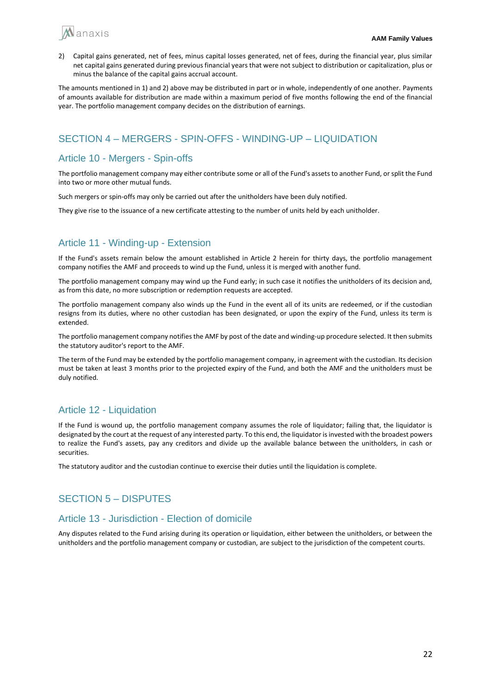

2) Capital gains generated, net of fees, minus capital losses generated, net of fees, during the financial year, plus similar net capital gains generated during previous financial years that were not subject to distribution or capitalization, plus or minus the balance of the capital gains accrual account.

The amounts mentioned in 1) and 2) above may be distributed in part or in whole, independently of one another. Payments of amounts available for distribution are made within a maximum period of five months following the end of the financial year. The portfolio management company decides on the distribution of earnings.

# SECTION 4 – MERGERS - SPIN-OFFS - WINDING-UP – LIQUIDATION

# Article 10 - Mergers - Spin-offs

The portfolio management company may either contribute some or all of the Fund's assets to another Fund, or split the Fund into two or more other mutual funds.

Such mergers or spin-offs may only be carried out after the unitholders have been duly notified.

They give rise to the issuance of a new certificate attesting to the number of units held by each unitholder.

# Article 11 - Winding-up - Extension

If the Fund's assets remain below the amount established in Article 2 herein for thirty days, the portfolio management company notifies the AMF and proceeds to wind up the Fund, unless it is merged with another fund.

The portfolio management company may wind up the Fund early; in such case it notifies the unitholders of its decision and, as from this date, no more subscription or redemption requests are accepted.

The portfolio management company also winds up the Fund in the event all of its units are redeemed, or if the custodian resigns from its duties, where no other custodian has been designated, or upon the expiry of the Fund, unless its term is extended.

The portfolio management company notifies the AMF by post of the date and winding-up procedure selected. It then submits the statutory auditor's report to the AMF.

The term of the Fund may be extended by the portfolio management company, in agreement with the custodian. Its decision must be taken at least 3 months prior to the projected expiry of the Fund, and both the AMF and the unitholders must be duly notified.

# Article 12 - Liquidation

If the Fund is wound up, the portfolio management company assumes the role of liquidator; failing that, the liquidator is designated by the court at the request of any interested party. To this end, the liquidator is invested with the broadest powers to realize the Fund's assets, pay any creditors and divide up the available balance between the unitholders, in cash or securities.

The statutory auditor and the custodian continue to exercise their duties until the liquidation is complete.

# SECTION 5 – DISPUTES

# Article 13 - Jurisdiction - Election of domicile

Any disputes related to the Fund arising during its operation or liquidation, either between the unitholders, or between the unitholders and the portfolio management company or custodian, are subject to the jurisdiction of the competent courts.